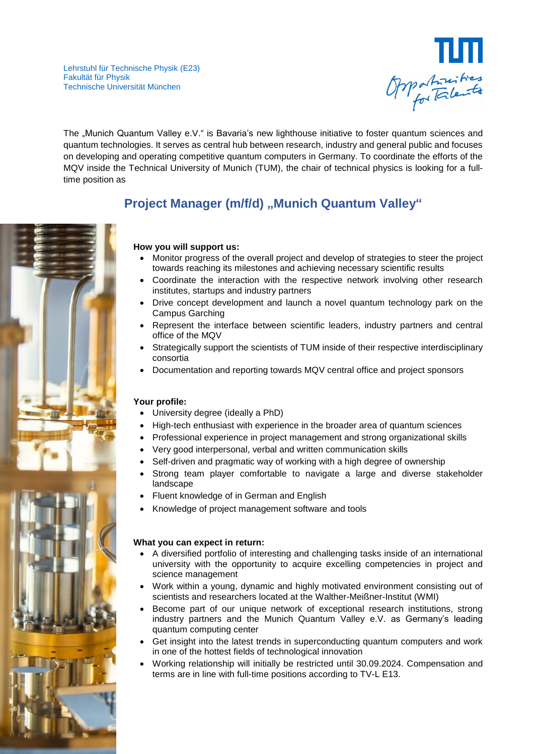Lehrstuhl für Technische Physik (E23) Fakultät für Physik Technische Universität München



The "Munich Quantum Valley e.V." is Bavaria's new lighthouse initiative to foster quantum sciences and quantum technologies. It serves as central hub between research, industry and general public and focuses on developing and operating competitive quantum computers in Germany. To coordinate the efforts of the MQV inside the Technical University of Munich (TUM), the chair of technical physics is looking for a fulltime position as

# **Project Manager (m/f/d)** ,, Munich Quantum Valley"



### **How you will support us:**

- Monitor progress of the overall project and develop of strategies to steer the project towards reaching its milestones and achieving necessary scientific results
- Coordinate the interaction with the respective network involving other research institutes, startups and industry partners
- Drive concept development and launch a novel quantum technology park on the Campus Garching
- Represent the interface between scientific leaders, industry partners and central office of the MQV
- Strategically support the scientists of TUM inside of their respective interdisciplinary consortia
- Documentation and reporting towards MQV central office and project sponsors

#### **Your profile:**

- University degree (ideally a PhD)
- High-tech enthusiast with experience in the broader area of quantum sciences
- Professional experience in project management and strong organizational skills
	- Very good interpersonal, verbal and written communication skills
	- Self-driven and pragmatic way of working with a high degree of ownership
	- Strong team player comfortable to navigate a large and diverse stakeholder landscape
	- Fluent knowledge of in German and English
	- Knowledge of project management software and tools

#### **What you can expect in return:**

- A diversified portfolio of interesting and challenging tasks inside of an international university with the opportunity to acquire excelling competencies in project and science management
- Work within a young, dynamic and highly motivated environment consisting out of scientists and researchers located at the Walther-Meißner-Institut (WMI)
- Become part of our unique network of exceptional research institutions, strong industry partners and the Munich Quantum Valley e.V. as Germany's leading quantum computing center
- Get insight into the latest trends in superconducting quantum computers and work in one of the hottest fields of technological innovation
- Working relationship will initially be restricted until 30.09.2024. Compensation and terms are in line with full-time positions according to TV-L E13.